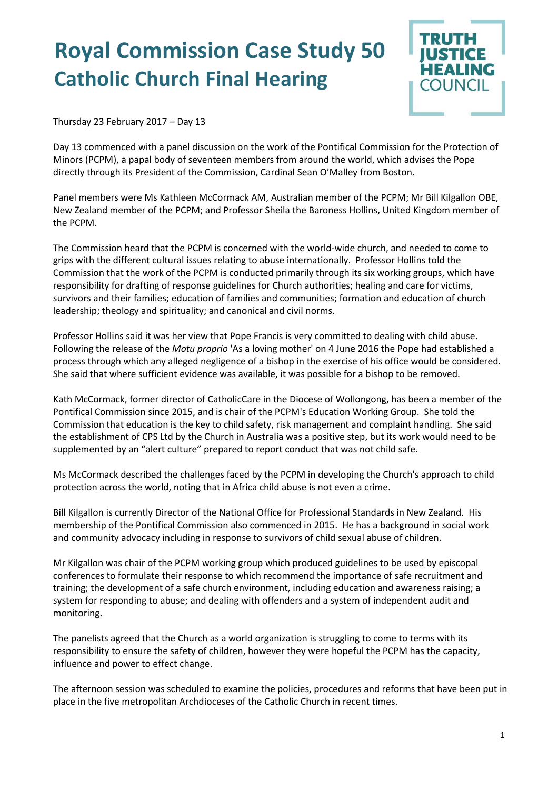## **Royal Commission Case Study 50 Catholic Church Final Hearing**



Thursday 23 February 2017 – Day 13

Day 13 commenced with a panel discussion on the work of the Pontifical Commission for the Protection of Minors (PCPM), a papal body of seventeen members from around the world, which advises the Pope directly through its President of the Commission, Cardinal Sean O'Malley from Boston.

Panel members were Ms Kathleen McCormack AM, Australian member of the PCPM; Mr Bill Kilgallon OBE, New Zealand member of the PCPM; and Professor Sheila the Baroness Hollins, United Kingdom member of the PCPM.

The Commission heard that the PCPM is concerned with the world-wide church, and needed to come to grips with the different cultural issues relating to abuse internationally. Professor Hollins told the Commission that the work of the PCPM is conducted primarily through its six working groups, which have responsibility for drafting of response guidelines for Church authorities; healing and care for victims, survivors and their families; education of families and communities; formation and education of church leadership; theology and spirituality; and canonical and civil norms.

Professor Hollins said it was her view that Pope Francis is very committed to dealing with child abuse. Following the release of the *Motu proprio* 'As a loving mother' on 4 June 2016 the Pope had established a process through which any alleged negligence of a bishop in the exercise of his office would be considered. She said that where sufficient evidence was available, it was possible for a bishop to be removed.

Kath McCormack, former director of CatholicCare in the Diocese of Wollongong, has been a member of the Pontifical Commission since 2015, and is chair of the PCPM's Education Working Group. She told the Commission that education is the key to child safety, risk management and complaint handling. She said the establishment of CPS Ltd by the Church in Australia was a positive step, but its work would need to be supplemented by an "alert culture" prepared to report conduct that was not child safe.

Ms McCormack described the challenges faced by the PCPM in developing the Church's approach to child protection across the world, noting that in Africa child abuse is not even a crime.

Bill Kilgallon is currently Director of the National Office for Professional Standards in New Zealand. His membership of the Pontifical Commission also commenced in 2015. He has a background in social work and community advocacy including in response to survivors of child sexual abuse of children.

Mr Kilgallon was chair of the PCPM working group which produced guidelines to be used by episcopal conferences to formulate their response to which recommend the importance of safe recruitment and training; the development of a safe church environment, including education and awareness raising; a system for responding to abuse; and dealing with offenders and a system of independent audit and monitoring.

The panelists agreed that the Church as a world organization is struggling to come to terms with its responsibility to ensure the safety of children, however they were hopeful the PCPM has the capacity, influence and power to effect change.

The afternoon session was scheduled to examine the policies, procedures and reforms that have been put in place in the five metropolitan Archdioceses of the Catholic Church in recent times.